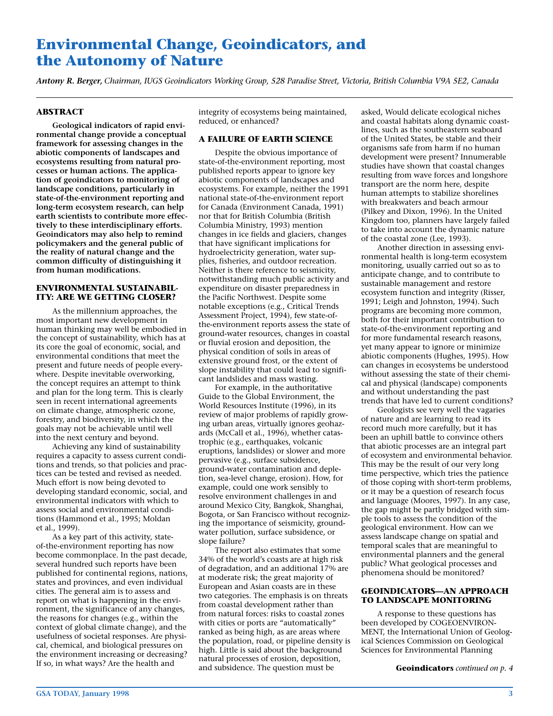# **Environmental Change, Geoindicators, and the Autonomy of Nature**

*Antony R. Berger, Chairman, IUGS Geoindicators Working Group, 528 Paradise Street, Victoria, British Columbia V9A 5E2, Canada*

# **ABSTRACT**

**Geological indicators of rapid environmental change provide a conceptual framework for assessing changes in the abiotic components of landscapes and ecosystems resulting from natural processes or human actions. The application of geoindicators to monitoring of landscape conditions, particularly in state-of-the-environment reporting and long-term ecosystem research, can help earth scientists to contribute more effectively to these interdisciplinary efforts. Geoindicators may also help to remind policymakers and the general public of the reality of natural change and the common difficulty of distinguishing it from human modifications.**

# **ENVIRONMENTAL SUSTAINABIL-ITY: ARE WE GETTING CLOSER?**

As the millennium approaches, the most important new development in human thinking may well be embodied in the concept of sustainability, which has at its core the goal of economic, social, and environmental conditions that meet the present and future needs of people everywhere. Despite inevitable overworking, the concept requires an attempt to think and plan for the long term. This is clearly seen in recent international agreements on climate change, atmospheric ozone, forestry, and biodiversity, in which the goals may not be achievable until well into the next century and beyond.

Achieving any kind of sustainability requires a capacity to assess current conditions and trends, so that policies and practices can be tested and revised as needed. Much effort is now being devoted to developing standard economic, social, and environmental indicators with which to assess social and environmental conditions (Hammond et al., 1995; Moldan et al., 1999).

As a key part of this activity, stateof-the-environment reporting has now become commonplace. In the past decade, several hundred such reports have been published for continental regions, nations, states and provinces, and even individual cities. The general aim is to assess and report on what is happening in the environment, the significance of any changes, the reasons for changes (e.g., within the context of global climate change), and the usefulness of societal responses. Are physical, chemical, and biological pressures on the environment increasing or decreasing? If so, in what ways? Are the health and

integrity of ecosystems being maintained, reduced, or enhanced?

# **A FAILURE OF EARTH SCIENCE**

Despite the obvious importance of state-of-the-environment reporting, most published reports appear to ignore key abiotic components of landscapes and ecosystems. For example, neither the 1991 national state-of-the-environment report for Canada (Environment Canada, 1991) nor that for British Columbia (British Columbia Ministry, 1993) mention changes in ice fields and glaciers, changes that have significant implications for hydroelectricity generation, water supplies, fisheries, and outdoor recreation. Neither is there reference to seismicity, notwithstanding much public activity and expenditure on disaster preparedness in the Pacific Northwest. Despite some notable exceptions (e.g., Critical Trends Assessment Project, 1994), few state-ofthe-environment reports assess the state of ground-water resources, changes in coastal or fluvial erosion and deposition, the physical condition of soils in areas of extensive ground frost, or the extent of slope instability that could lead to significant landslides and mass wasting.

For example, in the authoritative Guide to the Global Environment, the World Resources Institute (1996), in its review of major problems of rapidly growing urban areas, virtually ignores geohazards (McCall et al., 1996), whether catastrophic (e.g., earthquakes, volcanic eruptions, landslides) or slower and more pervasive (e.g., surface subsidence, ground-water contamination and depletion, sea-level change, erosion). How, for example, could one work sensibly to resolve environment challenges in and around Mexico City, Bangkok, Shanghai, Bogota, or San Francisco without recognizing the importance of seismicity, groundwater pollution, surface subsidence, or slope failure?

The report also estimates that some 34% of the world's coasts are at high risk of degradation, and an additional 17% are at moderate risk; the great majority of European and Asian coasts are in these two categories. The emphasis is on threats from coastal development rather than from natural forces: risks to coastal zones with cities or ports are "automatically" ranked as being high, as are areas where the population, road, or pipeline density is high. Little is said about the background natural processes of erosion, deposition, and subsidence. The question must be

asked, Would delicate ecological niches and coastal habitats along dynamic coastlines, such as the southeastern seaboard of the United States, be stable and their organisms safe from harm if no human development were present? Innumerable studies have shown that coastal changes resulting from wave forces and longshore transport are the norm here, despite human attempts to stabilize shorelines with breakwaters and beach armour (Pilkey and Dixon, 1996). In the United Kingdom too, planners have largely failed to take into account the dynamic nature of the coastal zone (Lee, 1993).

Another direction in assessing environmental health is long-term ecosystem monitoring, usually carried out so as to anticipate change, and to contribute to sustainable management and restore ecosystem function and integrity (Risser, 1991; Leigh and Johnston, 1994). Such programs are becoming more common, both for their important contribution to state-of-the-environment reporting and for more fundamental research reasons, yet many appear to ignore or minimize abiotic components (Hughes, 1995). How can changes in ecosystems be understood without assessing the state of their chemical and physical (landscape) components and without understanding the past trends that have led to current conditions?

Geologists see very well the vagaries of nature and are learning to read its record much more carefully, but it has been an uphill battle to convince others that abiotic processes are an integral part of ecosystem and environmental behavior. This may be the result of our very long time perspective, which tries the patience of those coping with short-term problems, or it may be a question of research focus and language (Moores, 1997). In any case, the gap might be partly bridged with simple tools to assess the condition of the geological environment. How can we assess landscape change on spatial and temporal scales that are meaningful to environmental planners and the general public? What geological processes and phenomena should be monitored?

# **GEOINDICATORS—AN APPROACH TO LANDSCAPE MONITORING**

A response to these questions has been developed by COGEOENVIRON-MENT, the International Union of Geological Sciences Commission on Geological Sciences for Environmental Planning

**Geoindicators** *continued on p. 4*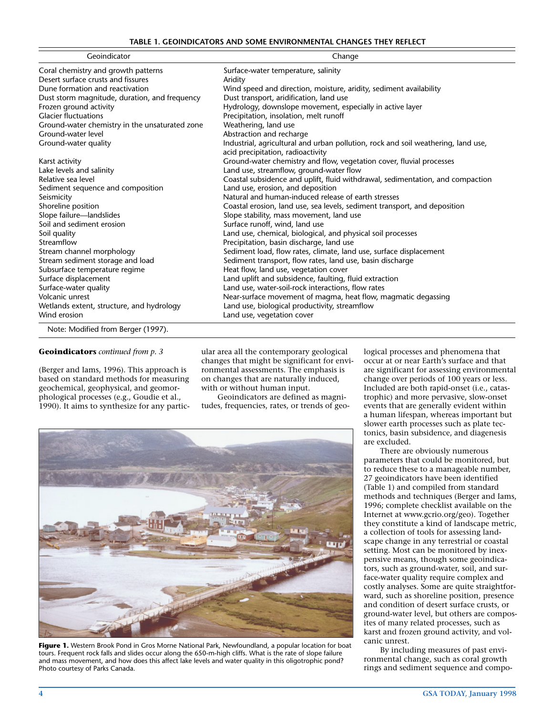|  |  | TABLE 1. GEOINDICATORS AND SOME ENVIRONMENTAL CHANGES THEY REFLECT |  |
|--|--|--------------------------------------------------------------------|--|
|--|--|--------------------------------------------------------------------|--|

| Geoindicator                                                                | Change                                                                                                                 |  |
|-----------------------------------------------------------------------------|------------------------------------------------------------------------------------------------------------------------|--|
| Coral chemistry and growth patterns                                         | Surface-water temperature, salinity                                                                                    |  |
| Desert surface crusts and fissures                                          | Aridity                                                                                                                |  |
| Dune formation and reactivation                                             | Wind speed and direction, moisture, aridity, sediment availability                                                     |  |
| Dust storm magnitude, duration, and frequency                               | Dust transport, aridification, land use                                                                                |  |
| Frozen ground activity                                                      | Hydrology, downslope movement, especially in active layer                                                              |  |
| <b>Glacier fluctuations</b>                                                 | Precipitation, insolation, melt runoff                                                                                 |  |
| Ground-water chemistry in the unsaturated zone                              | Weathering, land use                                                                                                   |  |
| Ground-water level                                                          | Abstraction and recharge                                                                                               |  |
| Ground-water quality                                                        | Industrial, agricultural and urban pollution, rock and soil weathering, land use,<br>acid precipitation, radioactivity |  |
| Karst activity                                                              | Ground-water chemistry and flow, vegetation cover, fluvial processes                                                   |  |
| Lake levels and salinity                                                    | Land use, streamflow, ground-water flow                                                                                |  |
| Relative sea level                                                          | Coastal subsidence and uplift, fluid withdrawal, sedimentation, and compaction                                         |  |
| Sediment sequence and composition                                           | Land use, erosion, and deposition                                                                                      |  |
| Seismicity                                                                  | Natural and human-induced release of earth stresses                                                                    |  |
| Shoreline position                                                          | Coastal erosion, land use, sea levels, sediment transport, and deposition                                              |  |
| Slope failure-landslides                                                    | Slope stability, mass movement, land use                                                                               |  |
| Soil and sediment erosion                                                   | Surface runoff, wind, land use                                                                                         |  |
| Soil quality                                                                | Land use, chemical, biological, and physical soil processes                                                            |  |
| Streamflow                                                                  | Precipitation, basin discharge, land use                                                                               |  |
| Stream channel morphology                                                   | Sediment load, flow rates, climate, land use, surface displacement                                                     |  |
| Stream sediment storage and load                                            | Sediment transport, flow rates, land use, basin discharge                                                              |  |
| Subsurface temperature regime                                               | Heat flow, land use, vegetation cover                                                                                  |  |
| Surface displacement                                                        | Land uplift and subsidence, faulting, fluid extraction                                                                 |  |
| Surface-water quality                                                       | Land use, water-soil-rock interactions, flow rates                                                                     |  |
| Volcanic unrest                                                             | Near-surface movement of magma, heat flow, magmatic degassing                                                          |  |
| Wetlands extent, structure, and hydrology                                   | Land use, biological productivity, streamflow                                                                          |  |
| Wind erosion                                                                | Land use, vegetation cover                                                                                             |  |
| $\mathbf{r}$ , and the state of $\mathbf{r}$<br>$\sim$ $\sim$ $\sim$ $\sim$ |                                                                                                                        |  |

Note: Modified from Berger (1997).

# **Geoindicators** *continued from p. 3*

(Berger and Iams, 1996). This approach is based on standard methods for measuring geochemical, geophysical, and geomorphological processes (e.g., Goudie et al., 1990). It aims to synthesize for any particular area all the contemporary geological changes that might be significant for environmental assessments. The emphasis is on changes that are naturally induced, with or without human input.

Geoindicators are defined as magnitudes, frequencies, rates, or trends of geo-



**Figure 1.** Western Brook Pond in Gros Morne National Park, Newfoundland, a popular location for boat tours. Frequent rock falls and slides occur along the 650-m-high cliffs. What is the rate of slope failure and mass movement, and how does this affect lake levels and water quality in this oligotrophic pond? Photo courtesy of Parks Canada.

logical processes and phenomena that occur at or near Earth's surface and that are significant for assessing environmental change over periods of 100 years or less. Included are both rapid-onset (i.e., catastrophic) and more pervasive, slow-onset events that are generally evident within a human lifespan, whereas important but slower earth processes such as plate tectonics, basin subsidence, and diagenesis are excluded.

There are obviously numerous parameters that could be monitored, but to reduce these to a manageable number, 27 geoindicators have been identified (Table 1) and compiled from standard methods and techniques (Berger and Iams, 1996; complete checklist available on the Internet at www.gcrio.org/geo). Together they constitute a kind of landscape metric, a collection of tools for assessing landscape change in any terrestrial or coastal setting. Most can be monitored by inexpensive means, though some geoindicators, such as ground-water, soil, and surface-water quality require complex and costly analyses. Some are quite straightforward, such as shoreline position, presence and condition of desert surface crusts, or ground-water level, but others are composites of many related processes, such as karst and frozen ground activity, and volcanic unrest.

By including measures of past environmental change, such as coral growth rings and sediment sequence and compo-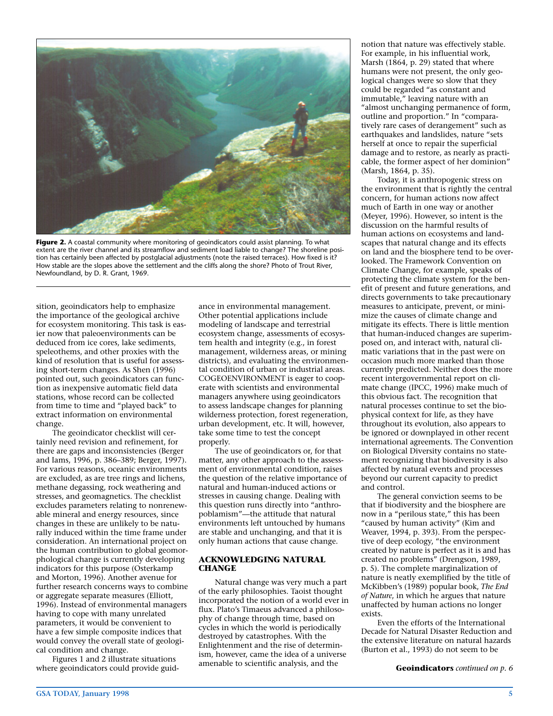

**Figure 2.** A coastal community where monitoring of geoindicators could assist planning. To what extent are the river channel and its streamflow and sediment load liable to change? The shoreline position has certainly been affected by postglacial adjustments (note the raised terraces). How fixed is it? How stable are the slopes above the settlement and the cliffs along the shore? Photo of Trout River, Newfoundland, by D. R. Grant, 1969.

sition, geoindicators help to emphasize the importance of the geological archive for ecosystem monitoring. This task is easier now that paleoenvironments can be deduced from ice cores, lake sediments, speleothems, and other proxies with the kind of resolution that is useful for assessing short-term changes. As Shen (1996) pointed out, such geoindicators can function as inexpensive automatic field data stations, whose record can be collected from time to time and "played back" to extract information on environmental change.

The geoindicator checklist will certainly need revision and refinement, for there are gaps and inconsistencies (Berger and Iams, 1996, p. 386–389; Berger, 1997). For various reasons, oceanic environments are excluded, as are tree rings and lichens, methane degassing, rock weathering and stresses, and geomagnetics. The checklist excludes parameters relating to nonrenewable mineral and energy resources, since changes in these are unlikely to be naturally induced within the time frame under consideration. An international project on the human contribution to global geomorphological change is currently developing indicators for this purpose (Osterkamp and Morton, 1996). Another avenue for further research concerns ways to combine or aggregate separate measures (Elliott, 1996). Instead of environmental managers having to cope with many unrelated parameters, it would be convenient to have a few simple composite indices that would convey the overall state of geological condition and change.

Figures 1 and 2 illustrate situations where geoindicators could provide guidance in environmental management. Other potential applications include modeling of landscape and terrestrial ecosystem change, assessments of ecosystem health and integrity (e.g., in forest management, wilderness areas, or mining districts), and evaluating the environmental condition of urban or industrial areas. COGEOENVIRONMENT is eager to cooperate with scientists and environmental managers anywhere using geoindicators to assess landscape changes for planning wilderness protection, forest regeneration, urban development, etc. It will, however, take some time to test the concept properly.

The use of geoindicators or, for that matter, any other approach to the assessment of environmental condition, raises the question of the relative importance of natural and human-induced actions or stresses in causing change. Dealing with this question runs directly into "anthropoblamism"—the attitude that natural environments left untouched by humans are stable and unchanging, and that it is only human actions that cause change.

### **ACKNOWLEDGING NATURAL CHANGE**

Natural change was very much a part of the early philosophies. Taoist thought incorporated the notion of a world ever in flux. Plato's Timaeus advanced a philosophy of change through time, based on cycles in which the world is periodically destroyed by catastrophes. With the Enlightenment and the rise of determinism, however, came the idea of a universe amenable to scientific analysis, and the

notion that nature was effectively stable. For example, in his influential work, Marsh (1864, p. 29) stated that where humans were not present, the only geological changes were so slow that they could be regarded "as constant and immutable," leaving nature with an "almost unchanging permanence of form, outline and proportion." In "comparatively rare cases of derangement" such as earthquakes and landslides, nature "sets herself at once to repair the superficial damage and to restore, as nearly as practicable, the former aspect of her dominion" (Marsh, 1864, p. 35).

Today, it is anthropogenic stress on the environment that is rightly the central concern, for human actions now affect much of Earth in one way or another (Meyer, 1996). However, so intent is the discussion on the harmful results of human actions on ecosystems and landscapes that natural change and its effects on land and the biosphere tend to be overlooked. The Framework Convention on Climate Change, for example, speaks of protecting the climate system for the benefit of present and future generations, and directs governments to take precautionary measures to anticipate, prevent, or minimize the causes of climate change and mitigate its effects. There is little mention that human-induced changes are superimposed on, and interact with, natural climatic variations that in the past were on occasion much more marked than those currently predicted. Neither does the more recent intergovernmental report on climate change (IPCC, 1996) make much of this obvious fact. The recognition that natural processes continue to set the biophysical context for life, as they have throughout its evolution, also appears to be ignored or downplayed in other recent international agreements. The Convention on Biological Diversity contains no statement recognizing that biodiversity is also affected by natural events and processes beyond our current capacity to predict and control.

The general conviction seems to be that if biodiversity and the biosphere are now in a "perilous state," this has been "caused by human activity" (Kim and Weaver, 1994, p. 393). From the perspective of deep ecology, "the environment created by nature is perfect as it is and has created no problems" (Drengson, 1989, p. 5). The complete marginalization of nature is neatly exemplified by the title of McKibben's (1989) popular book, *The End of Nature*, in which he argues that nature unaffected by human actions no longer exists.

Even the efforts of the International Decade for Natural Disaster Reduction and the extensive literature on natural hazards (Burton et al., 1993) do not seem to be

**Geoindicators** *continued on p. 6*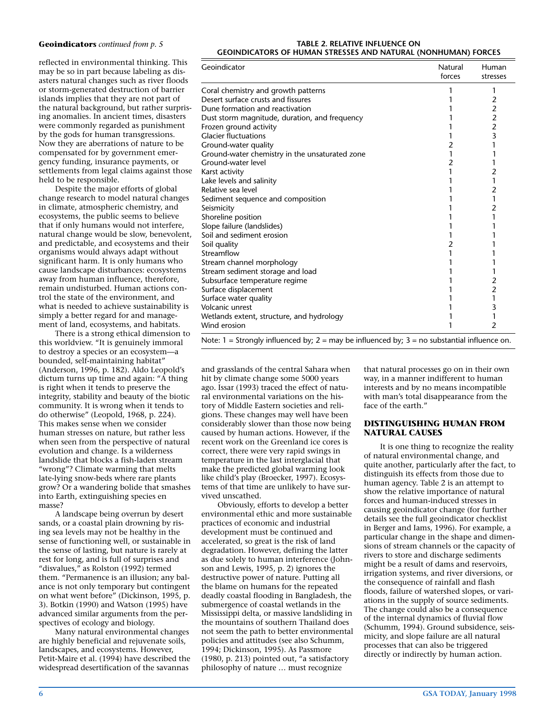#### **Geoindicators** *continued from p. 5*

reflected in environmental thinking. This may be so in part because labeling as disasters natural changes such as river floods or storm-generated destruction of barrier islands implies that they are not part of the natural background, but rather surprising anomalies. In ancient times, disasters were commonly regarded as punishment by the gods for human transgressions. Now they are aberrations of nature to be compensated for by government emergency funding, insurance payments, or settlements from legal claims against those held to be responsible.

Despite the major efforts of global change research to model natural changes in climate, atmospheric chemistry, and ecosystems, the public seems to believe that if only humans would not interfere, natural change would be slow, benevolent, and predictable, and ecosystems and their organisms would always adapt without significant harm. It is only humans who cause landscape disturbances: ecosystems away from human influence, therefore, remain undisturbed. Human actions control the state of the environment, and what is needed to achieve sustainability is simply a better regard for and management of land, ecosystems, and habitats.

There is a strong ethical dimension to this worldview. "It is genuinely immoral to destroy a species or an ecosystem—a bounded, self-maintaining habitat" (Anderson, 1996, p. 182). Aldo Leopold's dictum turns up time and again: "A thing is right when it tends to preserve the integrity, stability and beauty of the biotic community. It is wrong when it tends to do otherwise" (Leopold, 1968, p. 224). This makes sense when we consider human stresses on nature, but rather less when seen from the perspective of natural evolution and change. Is a wilderness landslide that blocks a fish-laden stream "wrong"? Climate warming that melts late-lying snow-beds where rare plants grow? Or a wandering bolide that smashes into Earth, extinguishing species en masse?

A landscape being overrun by desert sands, or a coastal plain drowning by rising sea levels may not be healthy in the sense of functioning well, or sustainable in the sense of lasting, but nature is rarely at rest for long, and is full of surprises and "disvalues," as Rolston (1992) termed them. "Permanence is an illusion; any balance is not only temporary but contingent on what went before" (Dickinson, 1995, p. 3). Botkin (1990) and Watson (1995) have advanced similar arguments from the perspectives of ecology and biology.

Many natural environmental changes are highly beneficial and rejuvenate soils, landscapes, and ecosystems. However, Petit-Maire et al. (1994) have described the widespread desertification of the savannas

#### **TABLE 2. RELATIVE INFLUENCE ON GEOINDICATORS OF HUMAN STRESSES AND NATURAL (NONHUMAN) FORCES**

| Geoindicator                                   | Natural<br>forces | Human<br>stresses |
|------------------------------------------------|-------------------|-------------------|
| Coral chemistry and growth patterns            |                   | 1                 |
| Desert surface crusts and fissures             |                   | 2                 |
| Dune formation and reactivation                |                   | $\overline{c}$    |
| Dust storm magnitude, duration, and frequency  |                   | $\frac{2}{2}$     |
| Frozen ground activity                         |                   |                   |
| <b>Glacier fluctuations</b>                    |                   | 3                 |
| Ground-water quality                           | 2                 | 1                 |
| Ground-water chemistry in the unsaturated zone |                   | 1                 |
| Ground-water level                             | 2                 |                   |
| Karst activity                                 |                   | $\overline{2}$    |
| Lake levels and salinity                       |                   | 1                 |
| Relative sea level                             |                   | 2                 |
| Sediment sequence and composition              |                   | 1                 |
| Seismicity                                     |                   | 2                 |
| Shoreline position                             |                   |                   |
| Slope failure (landslides)                     |                   |                   |
| Soil and sediment erosion                      |                   |                   |
| Soil quality                                   | 2                 |                   |
| Streamflow                                     |                   |                   |
| Stream channel morphology                      |                   |                   |
| Stream sediment storage and load               |                   |                   |
| Subsurface temperature regime                  |                   | 2                 |
| Surface displacement                           |                   | $\overline{c}$    |
| Surface water quality                          |                   | 1                 |
| Volcanic unrest                                |                   | 3                 |
| Wetlands extent, structure, and hydrology      |                   |                   |
| Wind erosion                                   |                   | 2                 |

Note:  $1 =$  Strongly influenced by;  $2 =$  may be influenced by;  $3 =$  no substantial influence on.

and grasslands of the central Sahara when hit by climate change some 5000 years ago. Issar (1993) traced the effect of natural environmental variations on the history of Middle Eastern societies and religions. These changes may well have been considerably slower than those now being caused by human actions. However, if the recent work on the Greenland ice cores is correct, there were very rapid swings in temperature in the last interglacial that make the predicted global warming look like child's play (Broecker, 1997). Ecosystems of that time are unlikely to have survived unscathed.

Obviously, efforts to develop a better environmental ethic and more sustainable practices of economic and industrial development must be continued and accelerated, so great is the risk of land degradation. However, defining the latter as due solely to human interference (Johnson and Lewis, 1995, p. 2) ignores the destructive power of nature. Putting all the blame on humans for the repeated deadly coastal flooding in Bangladesh, the submergence of coastal wetlands in the Mississippi delta, or massive landsliding in the mountains of southern Thailand does not seem the path to better environmental policies and attitudes (see also Schumm, 1994; Dickinson, 1995). As Passmore (1980, p. 213) pointed out, "a satisfactory philosophy of nature … must recognize

that natural processes go on in their own way, in a manner indifferent to human interests and by no means incompatible with man's total disappearance from the face of the earth."

#### **DISTINGUISHING HUMAN FROM NATURAL CAUSES**

It is one thing to recognize the reality of natural environmental change, and quite another, particularly after the fact, to distinguish its effects from those due to human agency. Table 2 is an attempt to show the relative importance of natural forces and human-induced stresses in causing geoindicator change (for further details see the full geoindicator checklist in Berger and Iams, 1996). For example, a particular change in the shape and dimensions of stream channels or the capacity of rivers to store and discharge sediments might be a result of dams and reservoirs, irrigation systems, and river diversions, or the consequence of rainfall and flash floods, failure of watershed slopes, or variations in the supply of source sediments. The change could also be a consequence of the internal dynamics of fluvial flow (Schumm, 1994). Ground subsidence, seismicity, and slope failure are all natural processes that can also be triggered directly or indirectly by human action.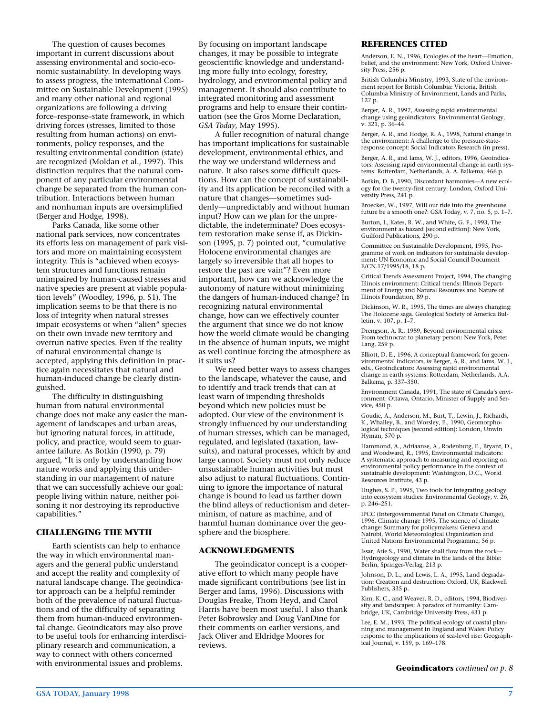The question of causes becomes important in current discussions about assessing environmental and socio-economic sustainability. In developing ways to assess progress, the international Committee on Sustainable Development (1995) and many other national and regional organizations are following a driving force–response–state framework, in which driving forces (stresses, limited to those resulting from human actions) on environments, policy responses, and the resulting environmental condition (state) are recognized (Moldan et al., 1997). This distinction requires that the natural component of any particular environmental change be separated from the human contribution. Interactions between human and nonhuman inputs are oversimplified (Berger and Hodge, 1998).

Parks Canada, like some other national park services, now concentrates its efforts less on management of park visitors and more on maintaining ecosystem integrity. This is "achieved when ecosystem structures and functions remain unimpaired by human-caused stresses and native species are present at viable population levels" (Woodley, 1996, p. 51). The implication seems to be that there is no loss of integrity when natural stresses impair ecosystems or when "alien" species on their own invade new territory and overrun native species. Even if the reality of natural environmental change is accepted, applying this definition in practice again necessitates that natural and human-induced change be clearly distinguished.

The difficulty in distinguishing human from natural environmental change does not make any easier the management of landscapes and urban areas, but ignoring natural forces, in attitude, policy, and practice, would seem to guarantee failure. As Botkin (1990, p. 79) argued, "It is only by understanding how nature works and applying this understanding in our management of nature that we can successfully achieve our goal: people living within nature, neither poisoning it nor destroying its reproductive capabilities."

# **CHALLENGING THE MYTH**

Earth scientists can help to enhance the way in which environmental managers and the general public understand and accept the reality and complexity of natural landscape change. The geoindicator approach can be a helpful reminder both of the prevalence of natural fluctuations and of the difficulty of separating them from human-induced environmental change. Geoindicators may also prove to be useful tools for enhancing interdisciplinary research and communication, a way to connect with others concerned with environmental issues and problems.

By focusing on important landscape changes, it may be possible to integrate geoscientific knowledge and understanding more fully into ecology, forestry, hydrology, and environmental policy and management. It should also contribute to integrated monitoring and assessment programs and help to ensure their continuation (see the Gros Morne Declaration, *GSA Today*, May 1995).

A fuller recognition of natural change has important implications for sustainable development, environmental ethics, and the way we understand wilderness and nature. It also raises some difficult questions. How can the concept of sustainability and its application be reconciled with a nature that changes—sometimes suddenly—unpredictably and without human input? How can we plan for the unpredictable, the indeterminate? Does ecosystem restoration make sense if, as Dickinson (1995, p. 7) pointed out, "cumulative Holocene environmental changes are largely so irreversible that all hopes to restore the past are vain"? Even more important, how can we acknowledge the autonomy of nature without minimizing the dangers of human-induced change? In recognizing natural environmental change, how can we effectively counter the argument that since we do not know how the world climate would be changing in the absence of human inputs, we might as well continue forcing the atmosphere as it suits us?

We need better ways to assess changes to the landscape, whatever the cause, and to identify and track trends that can at least warn of impending thresholds beyond which new policies must be adopted. Our view of the environment is strongly influenced by our understanding of human stresses, which can be managed, regulated, and legislated (taxation, lawsuits), and natural processes, which by and large cannot. Society must not only reduce unsustainable human activities but must also adjust to natural fluctuations. Continuing to ignore the importance of natural change is bound to lead us farther down the blind alleys of reductionism and determinism, of nature as machine, and of harmful human dominance over the geosphere and the biosphere.

#### **ACKNOWLEDGMENTS**

The geoindicator concept is a cooperative effort to which many people have made significant contributions (see list in Berger and Iams, 1996). Discussions with Douglas Freake, Thom Heyd, and Carol Harris have been most useful. I also thank Peter Bobrowsky and Doug VanDine for their comments on earlier versions, and Jack Oliver and Eldridge Moores for reviews.

#### **REFERENCES CITED**

Anderson, E. N., 1996, Ecologies of the heart—Emotion, belief, and the environment: New York, Oxford University Press, 256 p.

British Columbia Ministry, 1993, State of the environment report for British Columbia: Victoria, British Columbia Ministry of Environment, Lands and Parks, 127 p.

Berger, A. R., 1997, Assessing rapid environmental change using geoindicators: Environmental Geology, v. 321, p. 36–44.

Berger, A. R., and Hodge, R. A., 1998, Natural change in the environment: A challenge to the pressure-stateresponse concept: Social Indicators Research (in press).

Berger, A. R., and Iams, W. J., editors, 1996, Geoindicators: Assessing rapid environmental change in earth systems: Rotterdam, Netherlands, A. A. Balkema, 466 p.

Botkin, D. B.,1990, Discordant harmonies—A new ecology for the twenty-first century: London, Oxford University Press, 241 p.

Broecker, W., 1997, Will our ride into the greenhouse future be a smooth one?: GSA Today, v. 7, no. 5, p. 1–7.

Burton, I., Kates, R. W., and White, G. F., 1993, The environment as hazard [second edition]: New York, Guilford Publications, 290 p.

Committee on Sustainable Development, 1995, Programme of work on indicators for sustainable development: UN Economic and Social Council Document E/CN.17/1995/18, 18 p.

Critical Trends Assessment Project, 1994, The changing Illinois environment: Critical trends: Illinois Department of Energy and Natural Resources and Nature of Illinois Foundation, 89 p.

Dickinson, W. R., 1995, The times are always changing: The Holocene saga. Geological Society of America Bulletin, v. 107, p. 1–7.

Drengson, A. R., 1989, Beyond environmental crisis: From technocrat to planetary person: New York, Peter Lang, 259 p.

Elliott, D. E., 1996, A conceptual framework for geoenvironmental indicators, *in* Berger, A. R., and Iams, W. J., eds., Geoindicators: Assessing rapid environmental change in earth systems: Rotterdam, Netherlands, A.A. Balkema, p. 337–350.

Environment Canada, 1991, The state of Canada's environment: Ottawa, Ontario, Minister of Supply and Service, 450 p.

Goudie, A., Anderson, M., Burt, T., Lewin, J., Richards, K., Whalley, B., and Worsley, P., 1990, Geomorphological techniques [second edition]: London, Unwin Hyman, 570 p.

Hammond, A., Adriaanse, A., Rodenburg, E., Bryant, D., and Woodward, R., 1995, Environmental indicators: A systematic approach to measuring and reporting on environmental policy performance in the context of sustainable development: Washington, D.C., World Resources Institute, 43 p.

Hughes, S. P., 1995, Two tools for integrating geology into ecosystem studies: Environmental Geology, v. 26, p. 246–251.

IPCC (Intergovernmental Panel on Climate Change), 1996, Climate change 1995. The science of climate change: Summary for policymakers: Geneva and Nairobi, World Meteorological Organization and United Nations Environmental Programme, 56 p.

Issar, Arie S., 1990, Water shall flow from the rock— Hydrogeology and climate in the lands of the Bible: Berlin, Springer-Verlag, 213 p.

Johnson, D. L., and Lewis, L. A., 1995, Land degradation: Creation and destruction: Oxford, UK, Blackwell Publishers, 335 p.

Kim, K. C., and Weaver, R. D., editors, 1994, Biodiversity and landscapes: A paradox of humanity: Cambridge, UK, Cambridge University Press, 431 p.

Lee, E. M., 1993, The political ecology of coastal planning and management in England and Wales: Policy response to the implications of sea-level rise: Geographical Journal, v. 159, p. 169–178.